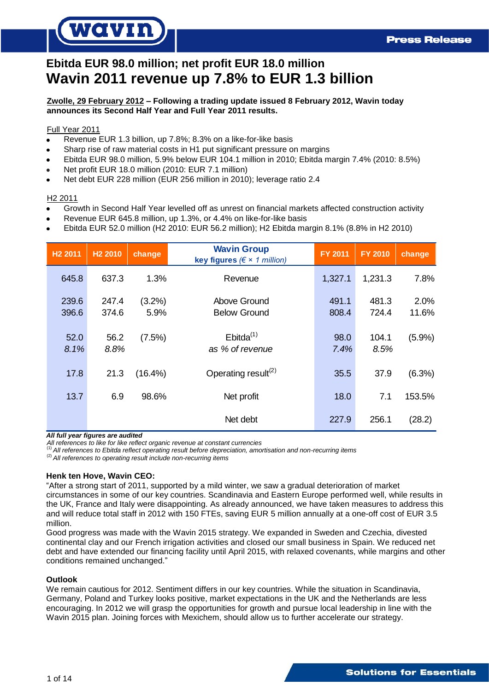# *IQVII*

# **Ebitda EUR 98.0 million; net profit EUR 18.0 million Wavin 2011 revenue up 7.8% to EUR 1.3 billion**

# **Zwolle, 29 February 2012 – Following a trading update issued 8 February 2012, Wavin today announces its Second Half Year and Full Year 2011 results.**

# Full Year 2011

- Revenue EUR 1.3 billion, up 7.8%; 8.3% on a like-for-like basis
- Sharp rise of raw material costs in H1 put significant pressure on margins
- Ebitda EUR 98.0 million, 5.9% below EUR 104.1 million in 2010; Ebitda margin 7.4% (2010: 8.5%)
- Net profit EUR 18.0 million (2010: EUR 7.1 million)
- Net debt EUR 228 million (EUR 256 million in 2010); leverage ratio 2.4

## H2 2011

- Growth in Second Half Year levelled off as unrest on financial markets affected construction activity  $\bullet$
- Revenue EUR 645.8 million, up 1.3%, or 4.4% on like-for-like basis
- Ebitda EUR 52.0 million (H2 2010: EUR 56.2 million); H2 Ebitda margin 8.1% (8.8% in H2 2010)

| H <sub>2</sub> 2011 | H <sub>2</sub> 2010 | change         | <b>Wavin Group</b><br>key figures ( $\xi \times 1$ million) | <b>FY 2011</b> | <b>FY 2010</b> | change        |
|---------------------|---------------------|----------------|-------------------------------------------------------------|----------------|----------------|---------------|
| 645.8               | 637.3               | 1.3%           | Revenue                                                     | 1,327.1        | 1,231.3        | 7.8%          |
| 239.6<br>396.6      | 247.4<br>374.6      | (3.2%)<br>5.9% | Above Ground<br><b>Below Ground</b>                         | 491.1<br>808.4 | 481.3<br>724.4 | 2.0%<br>11.6% |
| 52.0<br>8.1%        | 56.2<br>8.8%        | (7.5%)         | $Ebitda^{(1)}$<br>as % of revenue                           | 98.0<br>7.4%   | 104.1<br>8.5%  | (5.9%)        |
| 17.8                | 21.3                | $(16.4\%)$     | Operating result <sup>(2)</sup>                             | 35.5           | 37.9           | (6.3%)        |
| 13.7                | 6.9                 | 98.6%          | Net profit                                                  | 18.0           | 7.1            | 153.5%        |
|                     |                     |                | Net debt                                                    | 227.9          | 256.1          | (28.2)        |

*All full year figures are audited*

*All references to like for like reflect organic revenue at constant currencies* (1) *All references to Ebitda reflect operating result before depreciation, amortisation and non-recurring items*

(2) *All references to operating result include non-recurring items*

# **Henk ten Hove, Wavin CEO:**

"After a strong start of 2011, supported by a mild winter, we saw a gradual deterioration of market circumstances in some of our key countries. Scandinavia and Eastern Europe performed well, while results in the UK, France and Italy were disappointing. As already announced, we have taken measures to address this and will reduce total staff in 2012 with 150 FTEs, saving EUR 5 million annually at a one-off cost of EUR 3.5 million.

Good progress was made with the Wavin 2015 strategy. We expanded in Sweden and Czechia, divested continental clay and our French irrigation activities and closed our small business in Spain. We reduced net debt and have extended our financing facility until April 2015, with relaxed covenants, while margins and other conditions remained unchanged."

### **Outlook**

We remain cautious for 2012. Sentiment differs in our key countries. While the situation in Scandinavia, Germany, Poland and Turkey looks positive, market expectations in the UK and the Netherlands are less encouraging. In 2012 we will grasp the opportunities for growth and pursue local leadership in line with the Wavin 2015 plan. Joining forces with Mexichem, should allow us to further accelerate our strategy.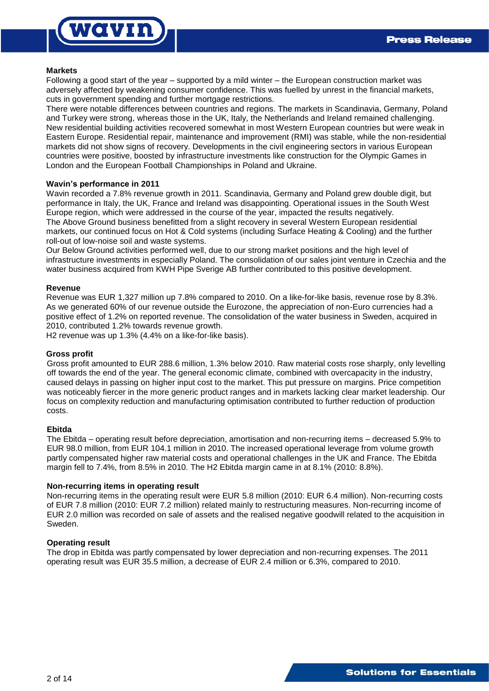

### **Markets**

Following a good start of the year – supported by a mild winter – the European construction market was adversely affected by weakening consumer confidence. This was fuelled by unrest in the financial markets, cuts in government spending and further mortgage restrictions.

There were notable differences between countries and regions. The markets in Scandinavia, Germany, Poland and Turkey were strong, whereas those in the UK, Italy, the Netherlands and Ireland remained challenging. New residential building activities recovered somewhat in most Western European countries but were weak in Eastern Europe. Residential repair, maintenance and improvement (RMI) was stable, while the non-residential markets did not show signs of recovery. Developments in the civil engineering sectors in various European countries were positive, boosted by infrastructure investments like construction for the Olympic Games in London and the European Football Championships in Poland and Ukraine.

## **Wavin's performance in 2011**

Wavin recorded a 7.8% revenue growth in 2011. Scandinavia, Germany and Poland grew double digit, but performance in Italy, the UK, France and Ireland was disappointing. Operational issues in the South West Europe region, which were addressed in the course of the year, impacted the results negatively. The Above Ground business benefitted from a slight recovery in several Western European residential markets, our continued focus on Hot & Cold systems (including Surface Heating & Cooling) and the further roll-out of low-noise soil and waste systems.

Our Below Ground activities performed well, due to our strong market positions and the high level of infrastructure investments in especially Poland. The consolidation of our sales joint venture in Czechia and the water business acquired from KWH Pipe Sverige AB further contributed to this positive development.

### **Revenue**

Revenue was EUR 1,327 million up 7.8% compared to 2010. On a like-for-like basis, revenue rose by 8.3%. As we generated 60% of our revenue outside the Eurozone, the appreciation of non-Euro currencies had a positive effect of 1.2% on reported revenue. The consolidation of the water business in Sweden, acquired in 2010, contributed 1.2% towards revenue growth.

H2 revenue was up 1.3% (4.4% on a like-for-like basis).

### **Gross profit**

Gross profit amounted to EUR 288.6 million, 1.3% below 2010. Raw material costs rose sharply, only levelling off towards the end of the year. The general economic climate, combined with overcapacity in the industry, caused delays in passing on higher input cost to the market. This put pressure on margins. Price competition was noticeably fiercer in the more generic product ranges and in markets lacking clear market leadership. Our focus on complexity reduction and manufacturing optimisation contributed to further reduction of production costs.

### **Ebitda**

The Ebitda – operating result before depreciation, amortisation and non-recurring items – decreased 5.9% to EUR 98.0 million, from EUR 104.1 million in 2010. The increased operational leverage from volume growth partly compensated higher raw material costs and operational challenges in the UK and France. The Ebitda margin fell to 7.4%, from 8.5% in 2010. The H2 Ebitda margin came in at 8.1% (2010: 8.8%).

## **Non-recurring items in operating result**

Non-recurring items in the operating result were EUR 5.8 million (2010: EUR 6.4 million). Non-recurring costs of EUR 7.8 million (2010: EUR 7.2 million) related mainly to restructuring measures. Non-recurring income of EUR 2.0 million was recorded on sale of assets and the realised negative goodwill related to the acquisition in Sweden.

### **Operating result**

The drop in Ebitda was partly compensated by lower depreciation and non-recurring expenses. The 2011 operating result was EUR 35.5 million, a decrease of EUR 2.4 million or 6.3%, compared to 2010.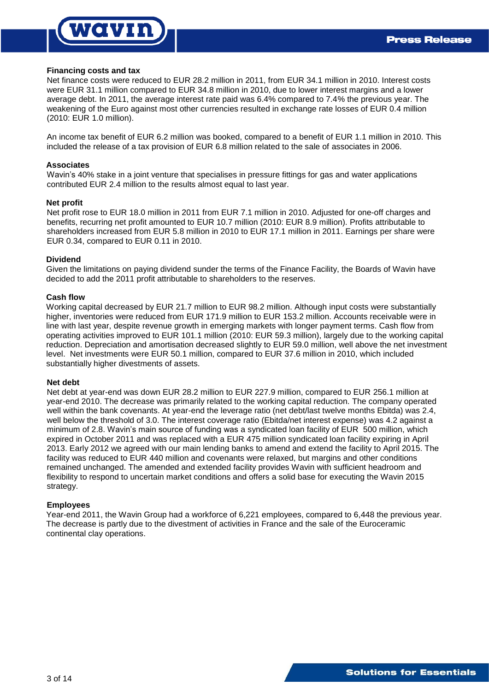# own

### **Financing costs and tax**

Net finance costs were reduced to EUR 28.2 million in 2011, from EUR 34.1 million in 2010. Interest costs were EUR 31.1 million compared to EUR 34.8 million in 2010, due to lower interest margins and a lower average debt. In 2011, the average interest rate paid was 6.4% compared to 7.4% the previous year. The weakening of the Euro against most other currencies resulted in exchange rate losses of EUR 0.4 million (2010: EUR 1.0 million).

An income tax benefit of EUR 6.2 million was booked, compared to a benefit of EUR 1.1 million in 2010. This included the release of a tax provision of EUR 6.8 million related to the sale of associates in 2006.

### **Associates**

Wavin's 40% stake in a joint venture that specialises in pressure fittings for gas and water applications contributed EUR 2.4 million to the results almost equal to last year.

#### **Net profit**

Net profit rose to EUR 18.0 million in 2011 from EUR 7.1 million in 2010. Adjusted for one-off charges and benefits, recurring net profit amounted to EUR 10.7 million (2010: EUR 8.9 million). Profits attributable to shareholders increased from EUR 5.8 million in 2010 to EUR 17.1 million in 2011. Earnings per share were EUR 0.34, compared to EUR 0.11 in 2010.

### **Dividend**

Given the limitations on paying dividend sunder the terms of the Finance Facility, the Boards of Wavin have decided to add the 2011 profit attributable to shareholders to the reserves.

#### **Cash flow**

Working capital decreased by EUR 21.7 million to EUR 98.2 million. Although input costs were substantially higher, inventories were reduced from EUR 171.9 million to EUR 153.2 million. Accounts receivable were in line with last year, despite revenue growth in emerging markets with longer payment terms. Cash flow from operating activities improved to EUR 101.1 million (2010: EUR 59.3 million), largely due to the working capital reduction. Depreciation and amortisation decreased slightly to EUR 59.0 million, well above the net investment level. Net investments were EUR 50.1 million, compared to EUR 37.6 million in 2010, which included substantially higher divestments of assets.

#### **Net debt**

Net debt at year-end was down EUR 28.2 million to EUR 227.9 million, compared to EUR 256.1 million at year-end 2010. The decrease was primarily related to the working capital reduction. The company operated well within the bank covenants. At year-end the leverage ratio (net debt/last twelve months Ebitda) was 2.4, well below the threshold of 3.0. The interest coverage ratio (Ebitda/net interest expense) was 4.2 against a minimum of 2.8. Wavin's main source of funding was a syndicated loan facility of EUR 500 million, which expired in October 2011 and was replaced with a EUR 475 million syndicated loan facility expiring in April 2013. Early 2012 we agreed with our main lending banks to amend and extend the facility to April 2015. The facility was reduced to EUR 440 million and covenants were relaxed, but margins and other conditions remained unchanged. The amended and extended facility provides Wavin with sufficient headroom and flexibility to respond to uncertain market conditions and offers a solid base for executing the Wavin 2015 strategy.

### **Employees**

Year-end 2011, the Wavin Group had a workforce of 6,221 employees, compared to 6,448 the previous year. The decrease is partly due to the divestment of activities in France and the sale of the Euroceramic continental clay operations.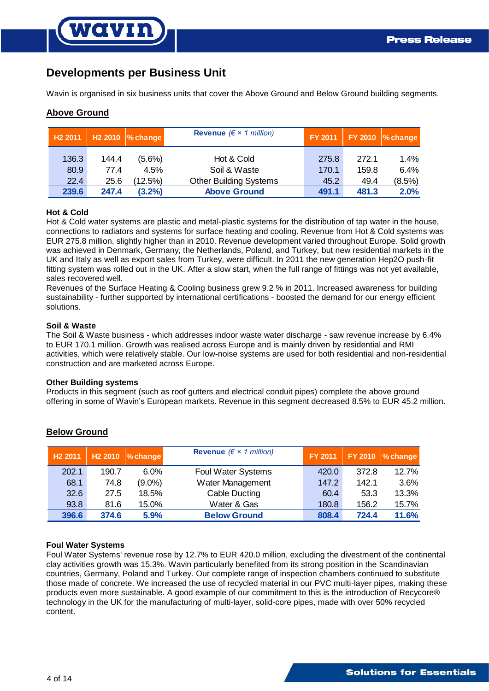# **Developments per Business Unit**

**OVIN** 

Wavin is organised in six business units that cover the Above Ground and Below Ground building segments.

# **Above Ground**

| H <sub>2</sub> 2011 |       | $H2 2010$ % change | Revenue ( $\xi \times 1$ million) | <b>FY 2011</b> |       | $FY 2010$ % change |
|---------------------|-------|--------------------|-----------------------------------|----------------|-------|--------------------|
| 136.3               | 144.4 | $(5.6\%)$          | Hot & Cold                        | 275.8          | 272.1 | 1.4%               |
| 80.9                | 77.4  | 4.5%               | Soil & Waste                      | 170.1          | 159.8 | 6.4%               |
| 22.4                | 25.6  | $(12.5\%)$         | <b>Other Building Systems</b>     | 45.2           | 49.4  | $(8.5\%)$          |
| 239.6               | 247.4 | $(3.2\%)$          | <b>Above Ground</b>               | 491.1          | 481.3 | 2.0%               |

## **Hot & Cold**

Hot & Cold water systems are plastic and metal-plastic systems for the distribution of tap water in the house, connections to radiators and systems for surface heating and cooling. Revenue from Hot & Cold systems was EUR 275.8 million, slightly higher than in 2010. Revenue development varied throughout Europe. Solid growth was achieved in Denmark, Germany, the Netherlands, Poland, and Turkey, but new residential markets in the UK and Italy as well as export sales from Turkey, were difficult. In 2011 the new generation Hep2O push-fit fitting system was rolled out in the UK. After a slow start, when the full range of fittings was not yet available, sales recovered well.

Revenues of the Surface Heating & Cooling business grew 9.2 % in 2011. Increased awareness for building sustainability - further supported by international certifications - boosted the demand for our energy efficient solutions.

#### **Soil & Waste**

The Soil & Waste business - which addresses indoor waste water discharge - saw revenue increase by 6.4% to EUR 170.1 million. Growth was realised across Europe and is mainly driven by residential and RMI activities, which were relatively stable. Our low-noise systems are used for both residential and non-residential construction and are marketed across Europe.

#### **Other Building systems**

Products in this segment (such as roof gutters and electrical conduit pipes) complete the above ground offering in some of Wavin's European markets. Revenue in this segment decreased 8.5% to EUR 45.2 million.

| H <sub>2</sub> 2011 | H <sub>2</sub> 2010 | $\%$ change | Revenue ( $\xi \times 1$ million) | <b>FY 2011</b> |       | $FY 2010$ % change |
|---------------------|---------------------|-------------|-----------------------------------|----------------|-------|--------------------|
| 202.1               | 190.7               | $6.0\%$     | Foul Water Systems                | 420.0          | 372.8 | 12.7%              |
| 68.1                | 74.8                | $(9.0\%)$   | Water Management                  | 147.2          | 142.1 | 3.6%               |
| 32.6                | 27.5                | 18.5%       | Cable Ducting                     | 60.4           | 53.3  | 13.3%              |
| 93.8                | 81.6                | 15.0%       | Water & Gas                       | 180.8          | 156.2 | 15.7%              |
| 396.6               | 374.6               | 5.9%        | <b>Below Ground</b>               | 808.4          | 724.4 | 11.6%              |

# **Below Ground**

### **Foul Water Systems**

Foul Water Systems' revenue rose by 12.7% to EUR 420.0 million, excluding the divestment of the continental clay activities growth was 15.3%. Wavin particularly benefited from its strong position in the Scandinavian countries, Germany, Poland and Turkey. Our complete range of inspection chambers continued to substitute those made of concrete. We increased the use of recycled material in our PVC multi-layer pipes, making these products even more sustainable. A good example of our commitment to this is the introduction of Recycore® technology in the UK for the manufacturing of multi-layer, solid-core pipes, made with over 50% recycled content.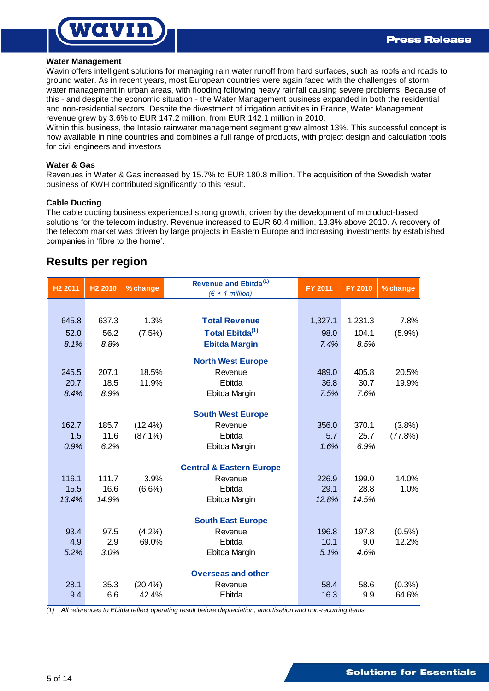

## **Water Management**

Wavin offers intelligent solutions for managing rain water runoff from hard surfaces, such as roofs and roads to ground water. As in recent years, most European countries were again faced with the challenges of storm water management in urban areas, with flooding following heavy rainfall causing severe problems. Because of this - and despite the economic situation - the Water Management business expanded in both the residential and non-residential sectors. Despite the divestment of irrigation activities in France, Water Management revenue grew by 3.6% to EUR 147.2 million, from EUR 142.1 million in 2010.

Within this business, the Intesio rainwater management segment grew almost 13%. This successful concept is now available in nine countries and combines a full range of products, with project design and calculation tools for civil engineers and investors

## **Water & Gas**

Revenues in Water & Gas increased by 15.7% to EUR 180.8 million. The acquisition of the Swedish water business of KWH contributed significantly to this result.

## **Cable Ducting**

The cable ducting business experienced strong growth, driven by the development of microduct-based solutions for the telecom industry. Revenue increased to EUR 60.4 million, 13.3% above 2010. A recovery of the telecom market was driven by large projects in Eastern Europe and increasing investments by established companies in 'fibre to the home'.

# **Results per region**

| H <sub>2</sub> 2010 | % change   | Revenue and Ebitda <sup>(1)</sup><br>$(\epsilon \times 1$ million) | <b>FY 2011</b>           | <b>FY 2010</b> | % change  |
|---------------------|------------|--------------------------------------------------------------------|--------------------------|----------------|-----------|
|                     |            |                                                                    |                          |                |           |
| 637.3               | 1.3%       | <b>Total Revenue</b>                                               | 1,327.1                  | 1,231.3        | 7.8%      |
| 56.2                | (7.5%)     | Total Ebitda <sup>(1)</sup>                                        | 98.0                     | 104.1          | (5.9%)    |
| 8.8%                |            | <b>Ebitda Margin</b>                                               | 7.4%                     | 8.5%           |           |
|                     |            | <b>North West Europe</b>                                           |                          |                |           |
| 207.1               | 18.5%      | Revenue                                                            | 489.0                    | 405.8          | 20.5%     |
| 18.5                | 11.9%      | Ebitda                                                             | 36.8                     | 30.7           | 19.9%     |
| 8.9%                |            | Ebitda Margin                                                      | 7.5%                     | 7.6%           |           |
|                     |            |                                                                    |                          |                |           |
| 185.7               | $(12.4\%)$ | Revenue                                                            | 356.0                    | 370.1          | (3.8%)    |
| 11.6                | $(87.1\%)$ | Ebitda                                                             | 5.7                      | 25.7           | (77.8%)   |
| 6.2%                |            | Ebitda Margin                                                      | 1.6%                     | 6.9%           |           |
|                     |            | <b>Central &amp; Eastern Europe</b>                                |                          |                |           |
| 111.7               | 3.9%       | Revenue                                                            | 226.9                    | 199.0          | 14.0%     |
| 16.6                | $(6.6\%)$  | Ebitda                                                             | 29.1                     | 28.8           | 1.0%      |
| 14.9%               |            | Ebitda Margin                                                      | 12.8%                    | 14.5%          |           |
|                     |            | <b>South East Europe</b>                                           |                          |                |           |
| 97.5                | (4.2%)     | Revenue                                                            | 196.8                    | 197.8          | $(0.5\%)$ |
| 2.9                 | 69.0%      | Ebitda                                                             | 10.1                     | 9.0            | 12.2%     |
| 3.0%                |            | Ebitda Margin                                                      | 5.1%                     | 4.6%           |           |
|                     |            | <b>Overseas and other</b>                                          |                          |                |           |
| 35.3                | (20.4% )   | Revenue                                                            | 58.4                     | 58.6           | $(0.3\%)$ |
| 6.6                 | 42.4%      | Ebitda                                                             | 16.3                     | 9.9            | 64.6%     |
|                     |            |                                                                    | <b>South West Europe</b> |                |           |

*(1) All references to Ebitda reflect operating result before depreciation, amortisation and non-recurring items*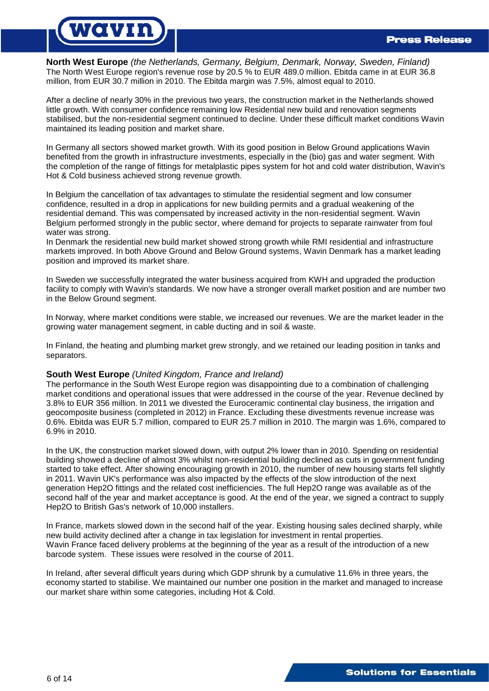# vavin

**North West Europe** *(the Netherlands, Germany, Belgium, Denmark, Norway, Sweden, Finland)* The North West Europe region's revenue rose by 20.5 % to EUR 489.0 million. Ebitda came in at EUR 36.8 million, from EUR 30.7 million in 2010. The Ebitda margin was 7.5%, almost equal to 2010.

After a decline of nearly 30% in the previous two years, the construction market in the Netherlands showed little growth. With consumer confidence remaining low Residential new build and renovation segments stabilised, but the non-residential segment continued to decline. Under these difficult market conditions Wavin maintained its leading position and market share.

In Germany all sectors showed market growth. With its good position in Below Ground applications Wavin benefited from the growth in infrastructure investments, especially in the (bio) gas and water segment. With the completion of the range of fittings for metalplastic pipes system for hot and cold water distribution, Wavin's Hot & Cold business achieved strong revenue growth.

In Belgium the cancellation of tax advantages to stimulate the residential segment and low consumer confidence, resulted in a drop in applications for new building permits and a gradual weakening of the residential demand. This was compensated by increased activity in the non-residential segment. Wavin Belgium performed strongly in the public sector, where demand for projects to separate rainwater from foul water was strong.

In Denmark the residential new build market showed strong growth while RMI residential and infrastructure markets improved. In both Above Ground and Below Ground systems, Wavin Denmark has a market leading position and improved its market share.

In Sweden we successfully integrated the water business acquired from KWH and upgraded the production facility to comply with Wavin's standards. We now have a stronger overall market position and are number two in the Below Ground segment.

In Norway, where market conditions were stable, we increased our revenues. We are the market leader in the growing water management segment, in cable ducting and in soil & waste.

In Finland, the heating and plumbing market grew strongly, and we retained our leading position in tanks and separators.

# **South West Europe** *(United Kingdom, France and Ireland)*

The performance in the South West Europe region was disappointing due to a combination of challenging market conditions and operational issues that were addressed in the course of the year. Revenue declined by 3.8% to EUR 356 million. In 2011 we divested the Euroceramic continental clay business, the irrigation and geocomposite business (completed in 2012) in France. Excluding these divestments revenue increase was 0.6%. Ebitda was EUR 5.7 million, compared to EUR 25.7 million in 2010. The margin was 1.6%, compared to 6.9% in 2010.

In the UK, the construction market slowed down, with output 2% lower than in 2010. Spending on residential building showed a decline of almost 3% whilst non-residential building declined as cuts in government funding started to take effect. After showing encouraging growth in 2010, the number of new housing starts fell slightly in 2011. Wavin UK's performance was also impacted by the effects of the slow introduction of the next generation Hep2O fittings and the related cost inefficiencies. The full Hep2O range was available as of the second half of the year and market acceptance is good. At the end of the year, we signed a contract to supply Hep2O to British Gas's network of 10,000 installers.

In France, markets slowed down in the second half of the year. Existing housing sales declined sharply, while new build activity declined after a change in tax legislation for investment in rental properties. Wavin France faced delivery problems at the beginning of the year as a result of the introduction of a new barcode system. These issues were resolved in the course of 2011.

In Ireland, after several difficult years during which GDP shrunk by a cumulative 11.6% in three years, the economy started to stabilise. We maintained our number one position in the market and managed to increase our market share within some categories, including Hot & Cold.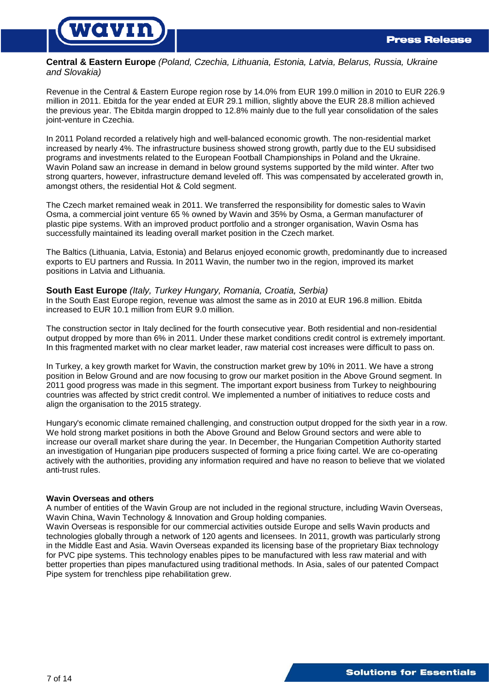

**Central & Eastern Europe** *(Poland, Czechia, Lithuania, Estonia, Latvia, Belarus, Russia, Ukraine and Slovakia)*

Revenue in the Central & Eastern Europe region rose by 14.0% from EUR 199.0 million in 2010 to EUR 226.9 million in 2011. Ebitda for the year ended at EUR 29.1 million, slightly above the EUR 28.8 million achieved the previous year. The Ebitda margin dropped to 12.8% mainly due to the full year consolidation of the sales joint-venture in Czechia.

In 2011 Poland recorded a relatively high and well-balanced economic growth. The non-residential market increased by nearly 4%. The infrastructure business showed strong growth, partly due to the EU subsidised programs and investments related to the European Football Championships in Poland and the Ukraine. Wavin Poland saw an increase in demand in below ground systems supported by the mild winter. After two strong quarters, however, infrastructure demand leveled off. This was compensated by accelerated growth in, amongst others, the residential Hot & Cold segment.

The Czech market remained weak in 2011. We transferred the responsibility for domestic sales to Wavin Osma, a commercial joint venture 65 % owned by Wavin and 35% by Osma, a German manufacturer of plastic pipe systems. With an improved product portfolio and a stronger organisation, Wavin Osma has successfully maintained its leading overall market position in the Czech market.

The Baltics (Lithuania, Latvia, Estonia) and Belarus enjoyed economic growth, predominantly due to increased exports to EU partners and Russia. In 2011 Wavin, the number two in the region, improved its market positions in Latvia and Lithuania.

## **South East Europe** *(Italy, Turkey Hungary, Romania, Croatia, Serbia)*

In the South East Europe region, revenue was almost the same as in 2010 at EUR 196.8 million. Ebitda increased to EUR 10.1 million from EUR 9.0 million.

The construction sector in Italy declined for the fourth consecutive year. Both residential and non-residential output dropped by more than 6% in 2011. Under these market conditions credit control is extremely important. In this fragmented market with no clear market leader, raw material cost increases were difficult to pass on.

In Turkey, a key growth market for Wavin, the construction market grew by 10% in 2011. We have a strong position in Below Ground and are now focusing to grow our market position in the Above Ground segment. In 2011 good progress was made in this segment. The important export business from Turkey to neighbouring countries was affected by strict credit control. We implemented a number of initiatives to reduce costs and align the organisation to the 2015 strategy.

Hungary's economic climate remained challenging, and construction output dropped for the sixth year in a row. We hold strong market positions in both the Above Ground and Below Ground sectors and were able to increase our overall market share during the year. In December, the Hungarian Competition Authority started an investigation of Hungarian pipe producers suspected of forming a price fixing cartel. We are co-operating actively with the authorities, providing any information required and have no reason to believe that we violated anti-trust rules.

### **Wavin Overseas and others**

A number of entities of the Wavin Group are not included in the regional structure, including Wavin Overseas, Wavin China, Wavin Technology & Innovation and Group holding companies.

Wavin Overseas is responsible for our commercial activities outside Europe and sells Wavin products and technologies globally through a network of 120 agents and licensees. In 2011, growth was particularly strong in the Middle East and Asia. Wavin Overseas expanded its licensing base of the proprietary Biax technology for PVC pipe systems. This technology enables pipes to be manufactured with less raw material and with better properties than pipes manufactured using traditional methods. In Asia, sales of our patented Compact Pipe system for trenchless pipe rehabilitation grew.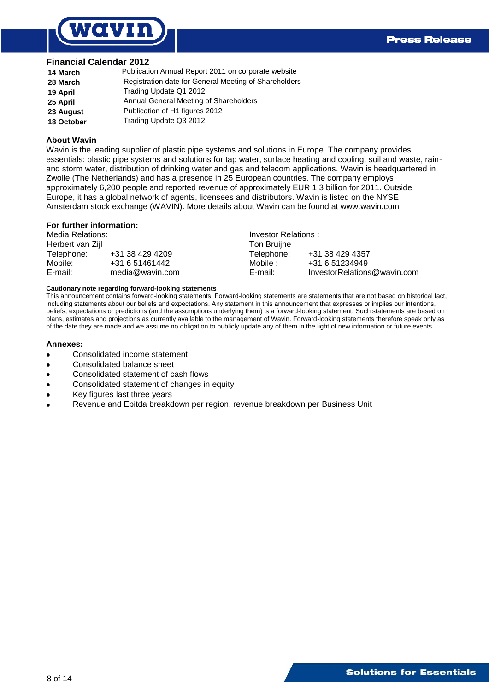

## **Financial Calendar 2012**

| 14 March   | Publication Annual Report 2011 on corporate website   |
|------------|-------------------------------------------------------|
| 28 March   | Registration date for General Meeting of Shareholders |
| 19 April   | Trading Update Q1 2012                                |
| 25 April   | Annual General Meeting of Shareholders                |
| 23 August  | Publication of H1 figures 2012                        |
| 18 October | Trading Update Q3 2012                                |

#### **About Wavin**

Wavin is the leading supplier of plastic pipe systems and solutions in Europe. The company provides essentials: plastic pipe systems and solutions for tap water, surface heating and cooling, soil and waste, rainand storm water, distribution of drinking water and gas and telecom applications. Wavin is headquartered in Zwolle (The Netherlands) and has a presence in 25 European countries. The company employs approximately 6,200 people and reported revenue of approximately EUR 1.3 billion for 2011. Outside Europe, it has a global network of agents, licensees and distributors. Wavin is listed on the NYSE Amsterdam stock exchange (WAVIN). More details about Wavin can be found at www.wavin.com

#### **For further information:**

| Media Relations: |                 | Investor Relations: |                             |  |  |
|------------------|-----------------|---------------------|-----------------------------|--|--|
| Herbert van Zijl |                 | Ton Bruijne         |                             |  |  |
| Telephone:       | +31 38 429 4209 | Telephone:          | +31 38 429 4357             |  |  |
| Mobile:          | +31 6 51461442  | Mobile :            | +31 6 51234949              |  |  |
| E-mail:          | media@wavin.com | E-mail:             | InvestorRelations@wavin.com |  |  |

#### **Cautionary note regarding forward-looking statements**

This announcement contains forward-looking statements. Forward-looking statements are statements that are not based on historical fact, including statements about our beliefs and expectations. Any statement in this announcement that expresses or implies our intentions, beliefs, expectations or predictions (and the assumptions underlying them) is a forward-looking statement. Such statements are based on plans, estimates and projections as currently available to the management of Wavin. Forward-looking statements therefore speak only as of the date they are made and we assume no obligation to publicly update any of them in the light of new information or future events.

#### **Annexes:**

- Consolidated income statement
- Consolidated balance sheet
- Consolidated statement of cash flows
- Consolidated statement of changes in equity
- Key figures last three years
- Revenue and Ebitda breakdown per region, revenue breakdown per Business Unit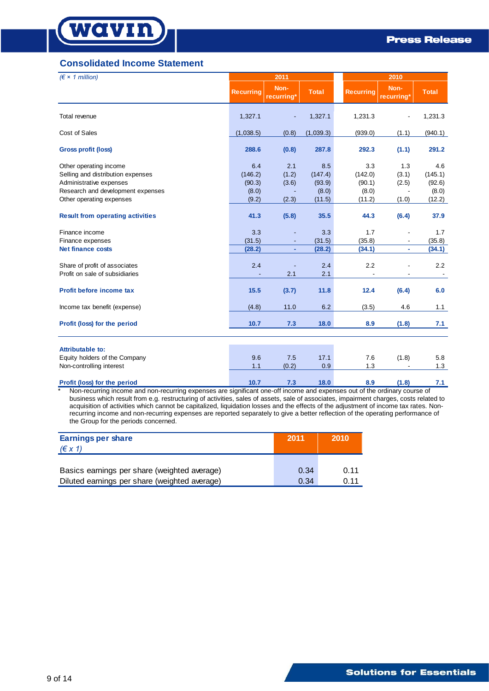

# **Consolidated Income Statement**

| $(\epsilon \times 1$ million)                                                                                                                                                                                                                                                                      |                                   | 2011                  |                                   |                                   | 2010                  |                                   |  |
|----------------------------------------------------------------------------------------------------------------------------------------------------------------------------------------------------------------------------------------------------------------------------------------------------|-----------------------------------|-----------------------|-----------------------------------|-----------------------------------|-----------------------|-----------------------------------|--|
|                                                                                                                                                                                                                                                                                                    | <b>Recurring</b>                  | Non-<br>recurring*    | <b>Total</b>                      | <b>Recurring</b>                  | Non-<br>recurring*    | <b>Total</b>                      |  |
| Total revenue                                                                                                                                                                                                                                                                                      | 1,327.1                           |                       | 1,327.1                           | 1,231.3                           |                       | 1,231.3                           |  |
| Cost of Sales                                                                                                                                                                                                                                                                                      | (1,038.5)                         | (0.8)                 | (1,039.3)                         | (939.0)                           | (1.1)                 | (940.1)                           |  |
| <b>Gross profit (loss)</b>                                                                                                                                                                                                                                                                         | 288.6                             | (0.8)                 | 287.8                             | 292.3                             | (1.1)                 | 291.2                             |  |
| Other operating income<br>Selling and distribution expenses<br>Administrative expenses<br>Research and development expenses                                                                                                                                                                        | 6.4<br>(146.2)<br>(90.3)<br>(8.0) | 2.1<br>(1.2)<br>(3.6) | 8.5<br>(147.4)<br>(93.9)<br>(8.0) | 3.3<br>(142.0)<br>(90.1)<br>(8.0) | 1.3<br>(3.1)<br>(2.5) | 4.6<br>(145.1)<br>(92.6)<br>(8.0) |  |
| Other operating expenses                                                                                                                                                                                                                                                                           | (9.2)                             | (2.3)                 | (11.5)                            | (11.2)                            | (1.0)                 | (12.2)                            |  |
| <b>Result from operating activities</b>                                                                                                                                                                                                                                                            | 41.3                              | (5.8)                 | 35.5                              | 44.3                              | (6.4)                 | 37.9                              |  |
| Finance income<br>Finance expenses<br><b>Net finance costs</b>                                                                                                                                                                                                                                     | 3.3<br>(31.5)<br>(28.2)           | ÷.                    | 3.3<br>(31.5)<br>(28.2)           | 1.7<br>(35.8)<br>(34.1)           | ÷                     | 1.7<br>(35.8)<br>(34.1)           |  |
| Share of profit of associates<br>Profit on sale of subsidiaries                                                                                                                                                                                                                                    | 2.4                               | 2.1                   | 2.4<br>2.1                        | 2.2                               |                       | 2.2                               |  |
| Profit before income tax                                                                                                                                                                                                                                                                           | 15.5                              | (3.7)                 | 11.8                              | 12.4                              | (6.4)                 | 6.0                               |  |
| Income tax benefit (expense)                                                                                                                                                                                                                                                                       | (4.8)                             | 11.0                  | 6.2                               | (3.5)                             | 4.6                   | 1.1                               |  |
| Profit (loss) for the period                                                                                                                                                                                                                                                                       | 10.7                              | 7.3                   | 18.0                              | 8.9                               | (1.8)                 | 7.1                               |  |
| <b>Attributable to:</b>                                                                                                                                                                                                                                                                            |                                   |                       |                                   |                                   |                       |                                   |  |
| Equity holders of the Company                                                                                                                                                                                                                                                                      | 9.6                               | 7.5                   | 17.1                              | 7.6                               | (1.8)                 | 5.8                               |  |
| Non-controlling interest                                                                                                                                                                                                                                                                           | 1.1                               | (0.2)                 | 0.9                               | 1.3                               |                       | 1.3                               |  |
| Profit (loss) for the period<br>Non-recurring income and non-recurring expenses are significant one-off income and expenses out of the ordinary course of<br>husiness which result from e a restructuring of activities, sales of assets, sale of associates, impairment charges, costs related to | 10.7                              | 7.3                   | 18.0                              | 8.9                               | (1.8)                 | 7.1                               |  |

business which result from e.g. restructuring of activities, sales of assets, sale of associates, impairment charges, costs related to acquisition of activities which cannot be capitalized, liquidation losses and the effects of the adjustment of income tax rates. Nonrecurring income and non-recurring expenses are reported separately to give a better reflection of the operating performance of the Group for the periods concerned.

| <b>Earnings per share</b><br>$(\epsilon x 1)$ | 2011 | 2010 |
|-----------------------------------------------|------|------|
| Basics earnings per share (weighted average)  | 0.34 | 0.11 |
| Diluted earnings per share (weighted average) | 0.34 | 0.11 |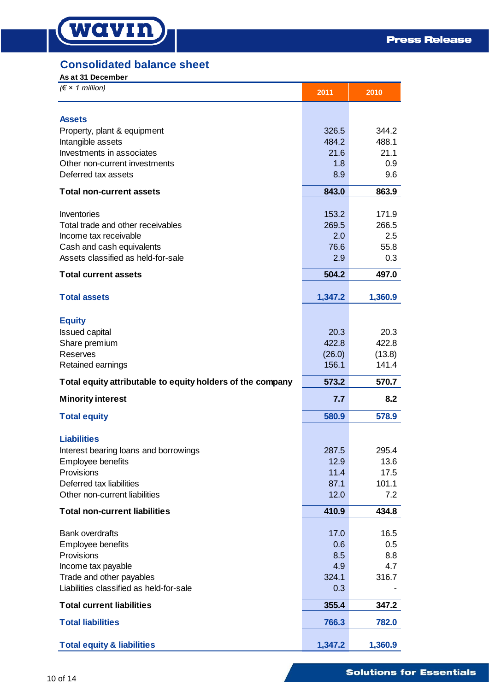# **Consolidated balance sheet**

# **As at 31 December**

| $(\epsilon \times 1$ million)                              | 2011           | 2010           |
|------------------------------------------------------------|----------------|----------------|
| <b>Assets</b>                                              |                |                |
|                                                            |                |                |
| Property, plant & equipment                                | 326.5<br>484.2 | 344.2<br>488.1 |
| Intangible assets                                          | 21.6           | 21.1           |
| Investments in associates                                  |                |                |
| Other non-current investments<br>Deferred tax assets       | 1.8            | 0.9            |
|                                                            | 8.9            | 9.6            |
| <b>Total non-current assets</b>                            | 843.0          | 863.9          |
| Inventories                                                | 153.2          | 171.9          |
| Total trade and other receivables                          | 269.5          | 266.5          |
| Income tax receivable                                      | 2.0            | 2.5            |
| Cash and cash equivalents                                  | 76.6           | 55.8           |
| Assets classified as held-for-sale                         | 2.9            | 0.3            |
|                                                            | 504.2          | 497.0          |
| <b>Total current assets</b>                                |                |                |
| <b>Total assets</b>                                        | 1,347.2        | 1,360.9        |
|                                                            |                |                |
| <b>Equity</b>                                              |                |                |
| <b>Issued capital</b>                                      | 20.3           | 20.3           |
| Share premium                                              | 422.8          | 422.8          |
| Reserves                                                   | (26.0)         | (13.8)         |
| Retained earnings                                          | 156.1          | 141.4          |
| Total equity attributable to equity holders of the company | 573.2          | 570.7          |
| <b>Minority interest</b>                                   | 7.7            | 8.2            |
| <b>Total equity</b>                                        | 580.9          | 578.9          |
| <b>Liabilities</b>                                         |                |                |
| Interest bearing loans and borrowings                      | 287.5          | 295.4          |
| Employee benefits                                          | 12.9           | 13.6           |
| Provisions                                                 | 11.4           | 17.5           |
| Deferred tax liabilities                                   | 87.1           | 101.1          |
| Other non-current liabilities                              | 12.0           | 7.2            |
| <b>Total non-current liabilities</b>                       | 410.9          | 434.8          |
|                                                            |                |                |
| <b>Bank overdrafts</b>                                     | 17.0           | 16.5           |
| Employee benefits                                          | 0.6            | 0.5            |
| Provisions                                                 | 8.5            | 8.8            |
| Income tax payable                                         | 4.9            | 4.7            |
| Trade and other payables                                   | 324.1          | 316.7          |
| Liabilities classified as held-for-sale                    | 0.3            |                |
| <b>Total current liabilities</b>                           | 355.4          | 347.2          |
| <b>Total liabilities</b>                                   | 766.3          | 782.0          |
| <b>Total equity &amp; liabilities</b>                      | 1,347.2        | 1,360.9        |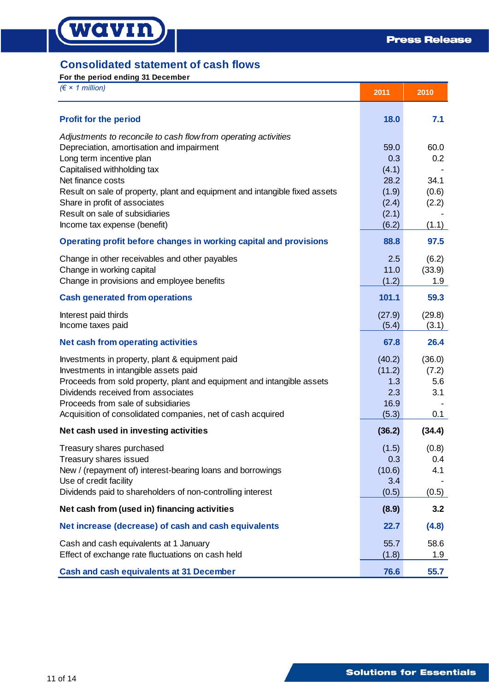# **Consolidated statement of cash flows**

**For the period ending 31 December**

wavin

| $(\epsilon \times 1$ million)                                                                                                                                                                                                                                                                                                                                                  | 2011                                                             | 2010                                           |
|--------------------------------------------------------------------------------------------------------------------------------------------------------------------------------------------------------------------------------------------------------------------------------------------------------------------------------------------------------------------------------|------------------------------------------------------------------|------------------------------------------------|
| <b>Profit for the period</b>                                                                                                                                                                                                                                                                                                                                                   | 18.0                                                             | 7.1                                            |
| Adjustments to reconcile to cash flow from operating activities<br>Depreciation, amortisation and impairment<br>Long term incentive plan<br>Capitalised withholding tax<br>Net finance costs<br>Result on sale of property, plant and equipment and intangible fixed assets<br>Share in profit of associates<br>Result on sale of subsidiaries<br>Income tax expense (benefit) | 59.0<br>0.3<br>(4.1)<br>28.2<br>(1.9)<br>(2.4)<br>(2.1)<br>(6.2) | 60.0<br>0.2<br>34.1<br>(0.6)<br>(2.2)<br>(1.1) |
| Operating profit before changes in working capital and provisions                                                                                                                                                                                                                                                                                                              | 88.8                                                             | 97.5                                           |
| Change in other receivables and other payables<br>Change in working capital<br>Change in provisions and employee benefits                                                                                                                                                                                                                                                      | 2.5<br>11.0<br>(1.2)                                             | (6.2)<br>(33.9)<br>1.9                         |
| <b>Cash generated from operations</b>                                                                                                                                                                                                                                                                                                                                          | 101.1                                                            | 59.3                                           |
| Interest paid thirds<br>Income taxes paid                                                                                                                                                                                                                                                                                                                                      | (27.9)<br>(5.4)                                                  | (29.8)<br>(3.1)                                |
| <b>Net cash from operating activities</b>                                                                                                                                                                                                                                                                                                                                      | 67.8                                                             | 26.4                                           |
| Investments in property, plant & equipment paid<br>Investments in intangible assets paid<br>Proceeds from sold property, plant and equipment and intangible assets<br>Dividends received from associates<br>Proceeds from sale of subsidiaries<br>Acquisition of consolidated companies, net of cash acquired                                                                  | (40.2)<br>(11.2)<br>1.3<br>2.3<br>16.9<br>(5.3)                  | (36.0)<br>(7.2)<br>5.6<br>3.1<br>0.1           |
| Net cash used in investing activities                                                                                                                                                                                                                                                                                                                                          | (36.2)                                                           | (34.4)                                         |
| Treasury shares purchased<br>Treasury shares issued<br>New / (repayment of) interest-bearing loans and borrowings<br>Use of credit facility<br>Dividends paid to shareholders of non-controlling interest                                                                                                                                                                      | (1.5)<br>0.3<br>(10.6)<br>3.4<br>(0.5)                           | (0.8)<br>0.4<br>4.1<br>(0.5)                   |
| Net cash from (used in) financing activities                                                                                                                                                                                                                                                                                                                                   | (8.9)                                                            | 3.2                                            |
| Net increase (decrease) of cash and cash equivalents                                                                                                                                                                                                                                                                                                                           | 22.7                                                             | (4.8)                                          |
| Cash and cash equivalents at 1 January<br>Effect of exchange rate fluctuations on cash held                                                                                                                                                                                                                                                                                    | 55.7<br>(1.8)                                                    | 58.6<br>1.9                                    |
| <b>Cash and cash equivalents at 31 December</b>                                                                                                                                                                                                                                                                                                                                | 76.6                                                             | 55.7                                           |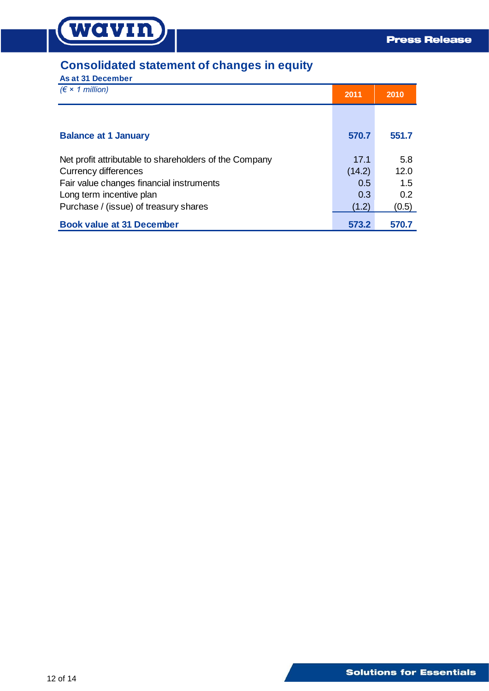# **Consolidated statement of changes in equity**

**As at 31 December**

**WAVIN** 

| $(\epsilon \times 1$ million)                          | 2011   | 2010  |
|--------------------------------------------------------|--------|-------|
|                                                        |        |       |
| <b>Balance at 1 January</b>                            | 570.7  | 551.7 |
| Net profit attributable to shareholders of the Company | 17.1   | 5.8   |
| <b>Currency differences</b>                            | (14.2) | 12.0  |
| Fair value changes financial instruments               | 0.5    | 1.5   |
| Long term incentive plan                               | 0.3    | 0.2   |
| Purchase / (issue) of treasury shares                  | (1.2)  | (0.5) |
| <b>Book value at 31 December</b>                       | 573.2  | 570.7 |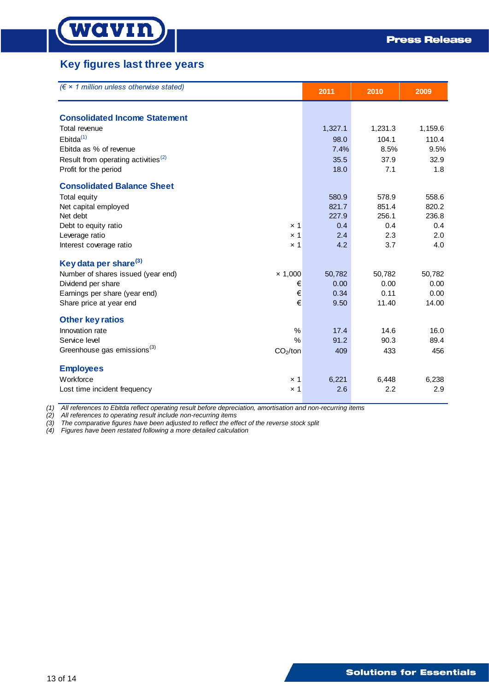# **Key figures last three years**

| $(\epsilon \times 1$ million unless otherwise stated)           | 2011    | 2010    | 2009    |
|-----------------------------------------------------------------|---------|---------|---------|
| <b>Consolidated Income Statement</b>                            |         |         |         |
| Total revenue                                                   | 1,327.1 | 1,231.3 | 1,159.6 |
| Ebitda <sup>(1)</sup>                                           | 98.0    | 104.1   | 110.4   |
| Ebitda as % of revenue                                          | 7.4%    | 8.5%    | 9.5%    |
| Result from operating activities <sup>(2)</sup>                 | 35.5    | 37.9    | 32.9    |
| Profit for the period                                           | 18.0    | 7.1     | 1.8     |
| <b>Consolidated Balance Sheet</b>                               |         |         |         |
| <b>Total equity</b>                                             | 580.9   | 578.9   | 558.6   |
| Net capital employed                                            | 821.7   | 851.4   | 820.2   |
| Net debt                                                        | 227.9   | 256.1   | 236.8   |
| Debt to equity ratio<br>$\times$ 1                              | 0.4     | 0.4     | 0.4     |
| Leverage ratio<br>$\times$ 1                                    | 2.4     | 2.3     | 2.0     |
| Interest coverage ratio<br>$\times$ 1                           | 4.2     | 3.7     | 4.0     |
| Key data per share <sup>(3)</sup>                               |         |         |         |
| Number of shares issued (year end)<br>$\times$ 1,000            | 50,782  | 50,782  | 50,782  |
| €<br>Dividend per share                                         | 0.00    | 0.00    | 0.00    |
| €<br>Earnings per share (year end)                              | 0.34    | 0.11    | 0.00    |
| €<br>Share price at year end                                    | 9.50    | 11.40   | 14.00   |
| <b>Other key ratios</b>                                         |         |         |         |
| Innovation rate<br>$\frac{0}{0}$                                | 17.4    | 14.6    | 16.0    |
| Service level<br>$\frac{0}{0}$                                  | 91.2    | 90.3    | 89.4    |
| Greenhouse gas emissions <sup>(3)</sup><br>CO <sub>2</sub> /ton | 409     | 433     | 456     |
| <b>Employees</b>                                                |         |         |         |
| Workforce<br>$\times$ 1                                         | 6,221   | 6,448   | 6,238   |
| Lost time incident frequency<br>$\times$ 1                      | 2.6     | 2.2     | 2.9     |

*(1) All references to Ebitda reflect operating result before depreciation, amortisation and non-recurring items*

*(2) All references to operating result include non-recurring items*

*(3) The comparative figures have been adjusted to reflect the effect of the reverse stock split*

*(4) Figures have been restated following a more detailed calculation*